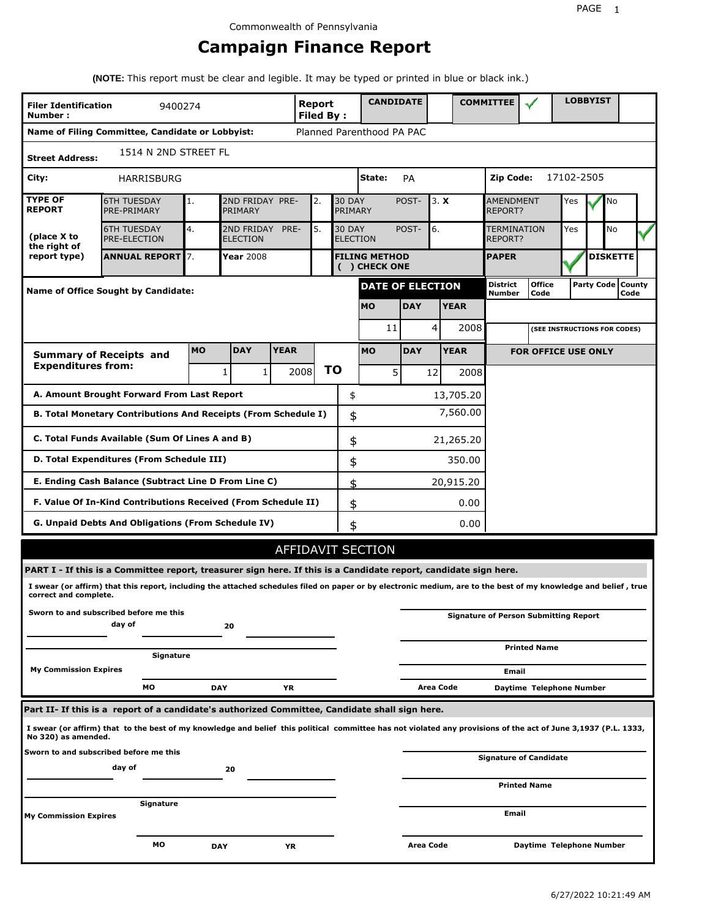## **Campaign Finance Report**

**(NOTE:** This report must be clear and legible. It may be typed or printed in blue or black ink.)

| <b>Filer Identification</b><br>Number: | 9400274                                                                                                                                                         |            |                               |             | Report<br><b>Filed By:</b> |    |               | <b>CANDIDATE</b>                      |            |           |                             | <b>COMMITTEE</b>       |                                              | <b>LOBBYIST</b> |                             |  |
|----------------------------------------|-----------------------------------------------------------------------------------------------------------------------------------------------------------------|------------|-------------------------------|-------------|----------------------------|----|---------------|---------------------------------------|------------|-----------|-----------------------------|------------------------|----------------------------------------------|-----------------|-----------------------------|--|
|                                        | Name of Filing Committee, Candidate or Lobbyist:                                                                                                                |            |                               |             |                            |    |               | Planned Parenthood PA PAC             |            |           |                             |                        |                                              |                 |                             |  |
| <b>Street Address:</b>                 | 1514 N 2ND STREET FL                                                                                                                                            |            |                               |             |                            |    |               |                                       |            |           |                             |                        |                                              |                 |                             |  |
| City:                                  | <b>HARRISBURG</b>                                                                                                                                               |            |                               |             |                            |    |               | State:                                | PA         |           |                             | Zip Code:              |                                              | 17102-2505      |                             |  |
| <b>TYPE OF</b><br><b>REPORT</b>        | 2ND FRIDAY PRE-<br><b>30 DAY</b><br><b>6TH TUESDAY</b><br>2.<br>1.<br>PRE-PRIMARY<br>PRIMARY<br>PRIMARY                                                         |            |                               |             |                            |    |               | 3. X<br>POST-                         |            |           | <b>AMENDMENT</b><br>REPORT? | Yes                    | No                                           |                 |                             |  |
| (place X to<br>the right of            | <b>6TH TUESDAY</b><br><b>PRE-ELECTION</b>                                                                                                                       | 4.         | 2ND FRIDAY<br><b>ELECTION</b> | PRE-        | 5.                         |    | <b>30 DAY</b> | <b>ELECTION</b>                       | POST-      | 6.        |                             | TERMINATION<br>REPORT? |                                              | Yes             | <b>No</b>                   |  |
| report type)                           | <b>ANNUAL REPORT 7.</b>                                                                                                                                         |            | <b>Year 2008</b>              |             |                            |    |               | <b>FILING METHOD</b><br>( ) CHECK ONE |            |           |                             | <b>PAPER</b>           |                                              |                 | <b>DISKETTE</b>             |  |
|                                        | <b>Name of Office Sought by Candidate:</b>                                                                                                                      |            |                               |             |                            |    |               | <b>DATE OF ELECTION</b>               |            |           |                             | District<br>Number     | <b>Office</b><br>Code                        |                 | Party Code   County<br>Code |  |
|                                        |                                                                                                                                                                 |            |                               |             |                            |    |               | <b>MO</b>                             | <b>DAY</b> |           | <b>YEAR</b>                 |                        |                                              |                 |                             |  |
|                                        |                                                                                                                                                                 |            |                               |             |                            |    |               | 11                                    |            | 4         | 2008                        |                        | (SEE INSTRUCTIONS FOR CODES)                 |                 |                             |  |
|                                        | <b>Summary of Receipts and</b>                                                                                                                                  | <b>MO</b>  | <b>DAY</b>                    | <b>YEAR</b> |                            |    |               | <b>MO</b>                             | <b>DAY</b> |           | <b>YEAR</b>                 |                        | <b>FOR OFFICE USE ONLY</b>                   |                 |                             |  |
| <b>Expenditures from:</b>              |                                                                                                                                                                 |            | 1<br>1                        |             | 2008                       | ΤO |               | 5                                     |            | 12        | 2008                        |                        |                                              |                 |                             |  |
|                                        | A. Amount Brought Forward From Last Report                                                                                                                      |            |                               |             |                            |    | \$            |                                       |            |           | 13,705.20                   |                        |                                              |                 |                             |  |
|                                        | B. Total Monetary Contributions And Receipts (From Schedule I)                                                                                                  |            |                               |             |                            |    | \$            |                                       |            |           | 7,560.00                    |                        |                                              |                 |                             |  |
|                                        | C. Total Funds Available (Sum Of Lines A and B)                                                                                                                 |            |                               |             |                            |    | \$            |                                       |            |           | 21,265.20                   |                        |                                              |                 |                             |  |
|                                        | D. Total Expenditures (From Schedule III)                                                                                                                       |            |                               |             |                            |    | \$            |                                       |            |           | 350.00                      |                        |                                              |                 |                             |  |
|                                        | E. Ending Cash Balance (Subtract Line D From Line C)                                                                                                            |            |                               |             |                            |    | \$            |                                       |            |           | 20,915.20                   |                        |                                              |                 |                             |  |
|                                        | F. Value Of In-Kind Contributions Received (From Schedule II)                                                                                                   |            |                               |             |                            |    | \$            |                                       |            |           | 0.00                        |                        |                                              |                 |                             |  |
|                                        | G. Unpaid Debts And Obligations (From Schedule IV)                                                                                                              |            |                               |             |                            |    | \$            |                                       |            |           | 0.00                        |                        |                                              |                 |                             |  |
|                                        |                                                                                                                                                                 |            |                               |             |                            |    |               | AFFIDAVIT SECTION                     |            |           |                             |                        |                                              |                 |                             |  |
|                                        | PART I - If this is a Committee report, treasurer sign here. If this is a Candidate report, candidate sign here.                                                |            |                               |             |                            |    |               |                                       |            |           |                             |                        |                                              |                 |                             |  |
| correct and complete.                  | I swear (or affirm) that this report, including the attached schedules filed on paper or by electronic medium, are to the best of my knowledge and belief, true |            |                               |             |                            |    |               |                                       |            |           |                             |                        |                                              |                 |                             |  |
|                                        | Sworn to and subscribed before me this<br>day of                                                                                                                |            | 20                            |             |                            |    |               |                                       |            |           |                             |                        | <b>Signature of Person Submitting Report</b> |                 |                             |  |
|                                        | Signature                                                                                                                                                       |            |                               |             |                            |    |               |                                       |            |           |                             |                        | <b>Printed Name</b>                          |                 |                             |  |
| <b>My Commission Expires</b>           |                                                                                                                                                                 |            |                               |             |                            |    |               |                                       |            |           |                             | Email                  |                                              |                 |                             |  |
|                                        | МO                                                                                                                                                              | <b>DAY</b> |                               | ΥR          |                            |    |               |                                       |            | Area Code |                             |                        | Daytime Telephone Number                     |                 |                             |  |
|                                        | Part II- If this is a report of a candidate's authorized Committee, Candidate shall sign here.                                                                  |            |                               |             |                            |    |               |                                       |            |           |                             |                        |                                              |                 |                             |  |
| No 320) as amended.                    | I swear (or affirm) that to the best of my knowledge and belief this political committee has not violated any provisions of the act of June 3,1937 (P.L. 1333,  |            |                               |             |                            |    |               |                                       |            |           |                             |                        |                                              |                 |                             |  |
|                                        | Sworn to and subscribed before me this<br>day of                                                                                                                |            | 20                            |             |                            |    |               |                                       |            |           |                             |                        | <b>Signature of Candidate</b>                |                 |                             |  |
|                                        |                                                                                                                                                                 |            |                               |             |                            |    |               |                                       |            |           |                             |                        | <b>Printed Name</b>                          |                 |                             |  |
| <b>My Commission Expires</b>           | Signature                                                                                                                                                       |            |                               |             |                            |    |               |                                       |            |           |                             | Email                  |                                              |                 |                             |  |
|                                        | мо                                                                                                                                                              | <b>DAY</b> |                               | ΥR          |                            |    |               |                                       | Area Code  |           |                             |                        | Daytime Telephone Number                     |                 |                             |  |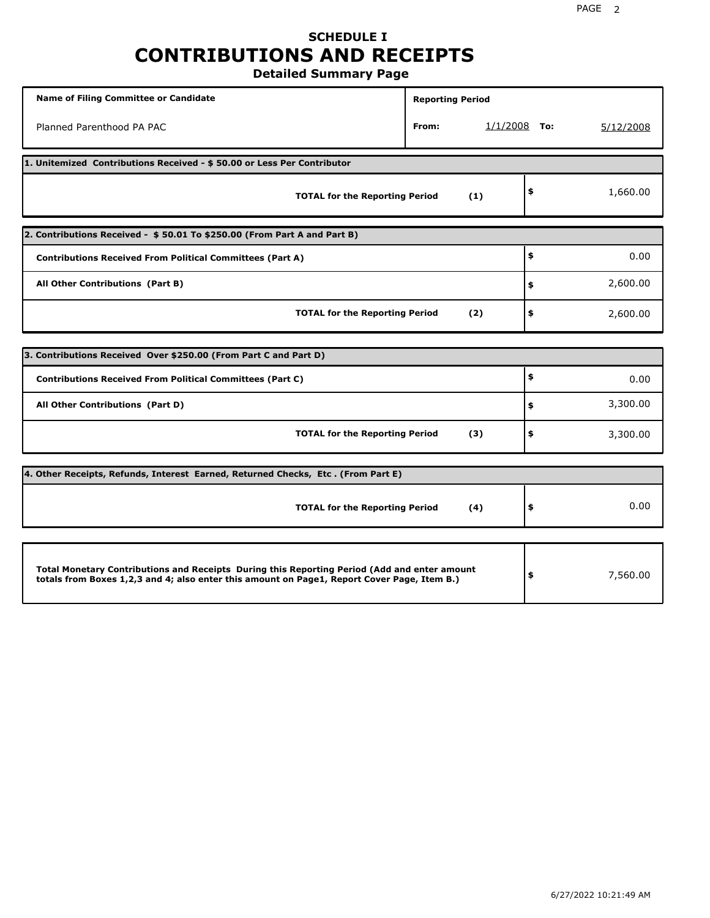### **SCHEDULE I CONTRIBUTIONS AND RECEIPTS Detailed Summary Page**

| <b>Name of Filing Committee or Candidate</b>                                                                                                                                                | <b>Reporting Period</b> |                |                |
|---------------------------------------------------------------------------------------------------------------------------------------------------------------------------------------------|-------------------------|----------------|----------------|
| Planned Parenthood PA PAC                                                                                                                                                                   | From:                   | $1/1/2008$ To: | 5/12/2008      |
| 1. Unitemized Contributions Received - \$50.00 or Less Per Contributor                                                                                                                      |                         |                |                |
| <b>TOTAL for the Reporting Period</b>                                                                                                                                                       |                         | (1)            | \$<br>1,660.00 |
| 2. Contributions Received - \$50.01 To \$250.00 (From Part A and Part B)                                                                                                                    |                         |                |                |
| <b>Contributions Received From Political Committees (Part A)</b>                                                                                                                            |                         |                | \$<br>0.00     |
| All Other Contributions (Part B)                                                                                                                                                            |                         |                | \$<br>2,600.00 |
| <b>TOTAL for the Reporting Period</b>                                                                                                                                                       |                         | (2)            | \$<br>2,600.00 |
| 3. Contributions Received Over \$250.00 (From Part C and Part D)                                                                                                                            |                         |                |                |
|                                                                                                                                                                                             |                         |                | \$             |
| <b>Contributions Received From Political Committees (Part C)</b>                                                                                                                            |                         |                | 0.00           |
| All Other Contributions (Part D)                                                                                                                                                            |                         |                | \$<br>3,300.00 |
| <b>TOTAL for the Reporting Period</b>                                                                                                                                                       |                         | (3)            | \$<br>3,300.00 |
| 4. Other Receipts, Refunds, Interest Earned, Returned Checks, Etc. (From Part E)                                                                                                            |                         |                |                |
| <b>TOTAL for the Reporting Period</b>                                                                                                                                                       |                         | (4)            | \$<br>0.00     |
|                                                                                                                                                                                             |                         |                |                |
| Total Monetary Contributions and Receipts During this Reporting Period (Add and enter amount<br>totals from Boxes 1,2,3 and 4; also enter this amount on Page1, Report Cover Page, Item B.) |                         |                | \$<br>7,560.00 |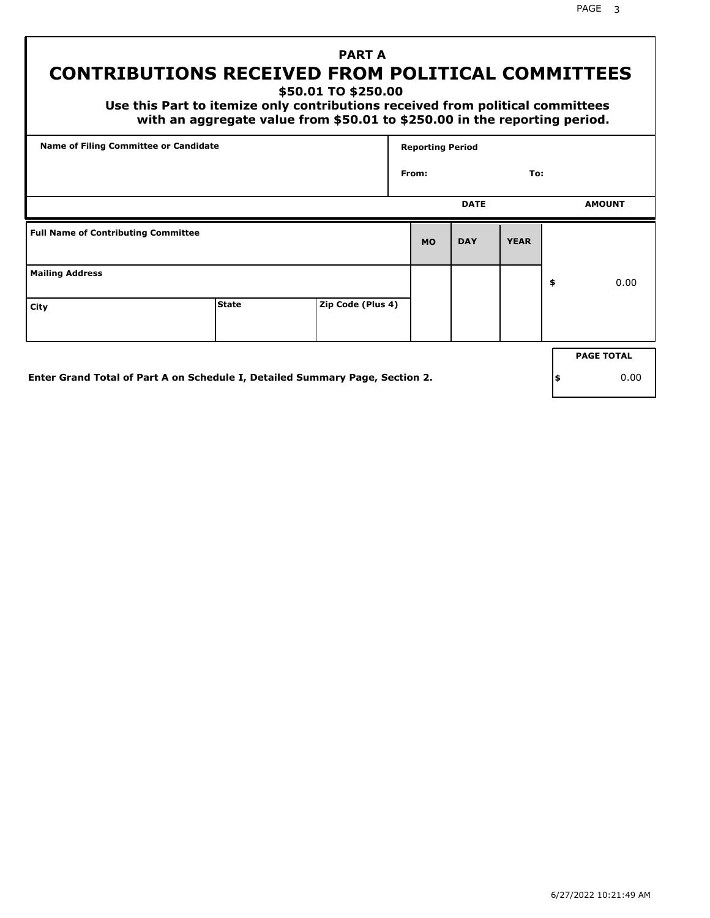PAGE 3

## **PART A CONTRIBUTIONS RECEIVED FROM POLITICAL COMMITTEES**

**\$50.01 TO \$250.00**

 **Use this Part to itemize only contributions received from political committees with an aggregate value from \$50.01 to \$250.00 in the reporting period.**

| <b>Name of Filing Committee or Candidate</b> |                                                                              |                   | <b>Reporting Period</b> |             |             |    |                   |
|----------------------------------------------|------------------------------------------------------------------------------|-------------------|-------------------------|-------------|-------------|----|-------------------|
|                                              |                                                                              |                   | From:                   |             | To:         |    |                   |
|                                              |                                                                              |                   |                         | <b>DATE</b> |             |    | <b>AMOUNT</b>     |
| <b>Full Name of Contributing Committee</b>   |                                                                              |                   | <b>MO</b>               | <b>DAY</b>  | <b>YEAR</b> |    |                   |
| <b>Mailing Address</b>                       |                                                                              |                   |                         |             |             | \$ | 0.00              |
| City                                         | <b>State</b>                                                                 | Zip Code (Plus 4) |                         |             |             |    |                   |
|                                              |                                                                              |                   |                         |             |             |    | <b>PAGE TOTAL</b> |
|                                              | Enter Grand Total of Part A on Schedule I, Detailed Summary Page, Section 2. |                   |                         |             |             | \$ | 0.00              |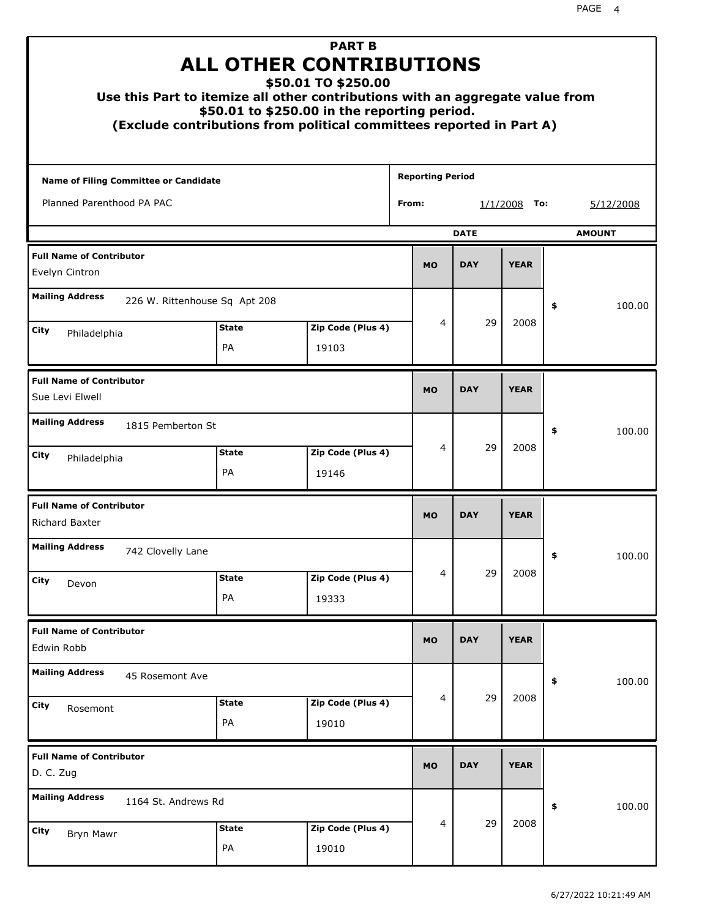|                                                         |                    | <b>PART B</b><br><b>ALL OTHER CONTRIBUTIONS</b><br>\$50.01 TO \$250.00<br>Use this Part to itemize all other contributions with an aggregate value from<br>\$50.01 to \$250.00 in the reporting period.<br>(Exclude contributions from political committees reported in Part A) |       |                         |             |                 |    |               |
|---------------------------------------------------------|--------------------|---------------------------------------------------------------------------------------------------------------------------------------------------------------------------------------------------------------------------------------------------------------------------------|-------|-------------------------|-------------|-----------------|----|---------------|
| Name of Filing Committee or Candidate                   |                    |                                                                                                                                                                                                                                                                                 |       | <b>Reporting Period</b> |             |                 |    |               |
| Planned Parenthood PA PAC                               |                    |                                                                                                                                                                                                                                                                                 | From: |                         |             | 1/1/2008<br>To: |    | 5/12/2008     |
|                                                         |                    |                                                                                                                                                                                                                                                                                 |       |                         | <b>DATE</b> |                 |    | <b>AMOUNT</b> |
| <b>Full Name of Contributor</b><br>Evelyn Cintron       |                    |                                                                                                                                                                                                                                                                                 |       | <b>MO</b>               | <b>DAY</b>  | <b>YEAR</b>     |    |               |
| <b>Mailing Address</b><br>226 W. Rittenhouse Sq Apt 208 |                    |                                                                                                                                                                                                                                                                                 |       |                         |             |                 | \$ | 100.00        |
| City<br>Philadelphia                                    | <b>State</b>       | Zip Code (Plus 4)                                                                                                                                                                                                                                                               |       | 4                       | 29          | 2008            |    |               |
|                                                         | PA                 | 19103                                                                                                                                                                                                                                                                           |       |                         |             |                 |    |               |
| <b>Full Name of Contributor</b><br>Sue Levi Elwell      |                    |                                                                                                                                                                                                                                                                                 |       | <b>MO</b>               | <b>DAY</b>  | <b>YEAR</b>     |    |               |
| <b>Mailing Address</b><br>1815 Pemberton St             |                    |                                                                                                                                                                                                                                                                                 |       |                         |             |                 | \$ | 100.00        |
| City<br>Philadelphia                                    | <b>State</b><br>PA | Zip Code (Plus 4)<br>19146                                                                                                                                                                                                                                                      |       | 4                       | 29          | 2008            |    |               |
| <b>Full Name of Contributor</b><br>Richard Baxter       |                    |                                                                                                                                                                                                                                                                                 |       | <b>MO</b>               | <b>DAY</b>  | <b>YEAR</b>     |    |               |
| <b>Mailing Address</b><br>742 Clovelly Lane             |                    |                                                                                                                                                                                                                                                                                 |       |                         |             |                 | Ş  | 100.00        |
| City<br>Devon                                           | <b>State</b>       | Zip Code (Plus 4)                                                                                                                                                                                                                                                               |       | 4                       | 29          | 2008            |    |               |
|                                                         | PA                 | 19333                                                                                                                                                                                                                                                                           |       |                         |             |                 |    |               |
| <b>Full Name of Contributor</b><br>Edwin Robb           |                    |                                                                                                                                                                                                                                                                                 |       | <b>MO</b>               | <b>DAY</b>  | <b>YEAR</b>     |    |               |
| <b>Mailing Address</b><br>45 Rosemont Ave               |                    |                                                                                                                                                                                                                                                                                 |       |                         |             |                 | \$ | 100.00        |
| City<br>Rosemont                                        | <b>State</b><br>PA | Zip Code (Plus 4)<br>19010                                                                                                                                                                                                                                                      |       | 4                       | 29          | 2008            |    |               |
| <b>Full Name of Contributor</b><br>D. C. Zug            |                    |                                                                                                                                                                                                                                                                                 |       | <b>MO</b>               | <b>DAY</b>  | <b>YEAR</b>     |    |               |
| <b>Mailing Address</b><br>1164 St. Andrews Rd           |                    |                                                                                                                                                                                                                                                                                 |       |                         |             |                 | \$ | 100.00        |
| City<br>Bryn Mawr                                       | <b>State</b><br>PA | Zip Code (Plus 4)<br>19010                                                                                                                                                                                                                                                      |       | 4                       | 29          | 2008            |    |               |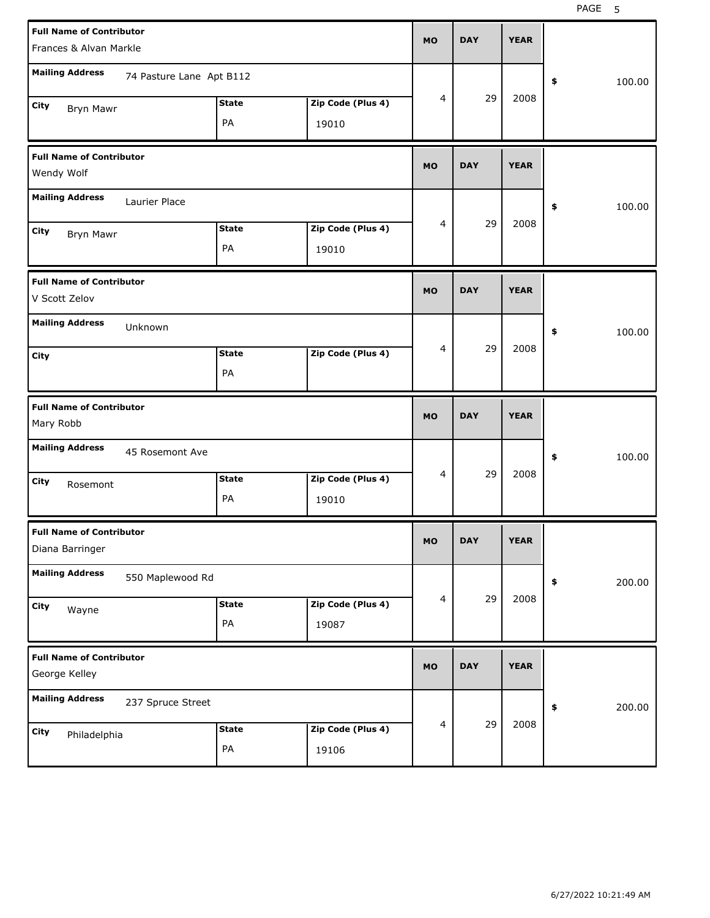| <b>Full Name of Contributor</b><br>Frances & Alvan Markle            | <b>MO</b> | <b>DAY</b> | <b>YEAR</b> |              |
|----------------------------------------------------------------------|-----------|------------|-------------|--------------|
| <b>Mailing Address</b><br>74 Pasture Lane Apt B112                   |           |            |             | 100.00<br>\$ |
| <b>State</b><br>Zip Code (Plus 4)<br>City<br><b>Bryn Mawr</b>        | 4         | 29         | 2008        |              |
| PA<br>19010                                                          |           |            |             |              |
| <b>Full Name of Contributor</b><br>Wendy Wolf                        | <b>MO</b> | <b>DAY</b> | <b>YEAR</b> |              |
| <b>Mailing Address</b><br>Laurier Place                              |           |            |             | 100.00<br>\$ |
| Zip Code (Plus 4)<br><b>State</b><br>City<br>Bryn Mawr               | 4         | 29         | 2008        |              |
| PA<br>19010                                                          |           |            |             |              |
| <b>Full Name of Contributor</b><br>V Scott Zelov                     | <b>MO</b> | <b>DAY</b> | <b>YEAR</b> |              |
| <b>Mailing Address</b><br>Unknown                                    |           |            |             | 100.00<br>\$ |
| Zip Code (Plus 4)<br><b>State</b><br>City<br>PA                      | 4         | 29         | 2008        |              |
|                                                                      |           |            |             |              |
| <b>Full Name of Contributor</b><br>Mary Robb                         | <b>MO</b> | <b>DAY</b> | <b>YEAR</b> |              |
| <b>Mailing Address</b><br>45 Rosemont Ave                            |           |            |             | 100.00<br>\$ |
| Zip Code (Plus 4)<br><b>State</b><br>City<br>Rosemont<br>PA<br>19010 | 4         | 29         | 2008        |              |
| <b>Full Name of Contributor</b><br>Diana Barringer                   | <b>MO</b> | <b>DAY</b> | <b>YEAR</b> |              |
| <b>Mailing Address</b><br>550 Maplewood Rd                           |           |            |             | 200.00<br>\$ |
| Zip Code (Plus 4)<br><b>State</b><br>City<br>Wayne<br>PA<br>19087    | 4         | 29         | 2008        |              |
| <b>Full Name of Contributor</b><br>George Kelley                     | <b>MO</b> | <b>DAY</b> | <b>YEAR</b> |              |
| <b>Mailing Address</b><br>237 Spruce Street                          |           | 29         | 2008        | 200.00<br>\$ |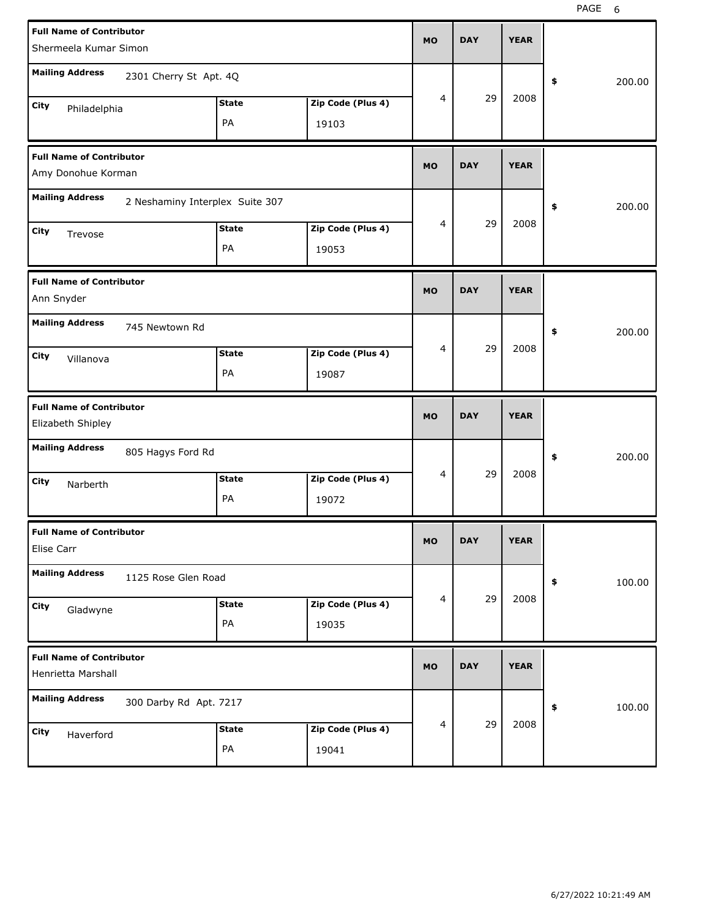| <b>Full Name of Contributor</b><br>Shermeela Kumar Simon |                                 |                    |                            |           | <b>DAY</b> | <b>YEAR</b> |              |
|----------------------------------------------------------|---------------------------------|--------------------|----------------------------|-----------|------------|-------------|--------------|
| <b>Mailing Address</b>                                   | 2301 Cherry St Apt. 4Q          |                    |                            |           |            |             | \$<br>200.00 |
| City<br>Philadelphia                                     |                                 | <b>State</b><br>PA | Zip Code (Plus 4)<br>19103 | 4         | 29         | 2008        |              |
| <b>Full Name of Contributor</b><br>Amy Donohue Korman    |                                 |                    |                            | <b>MO</b> | <b>DAY</b> | <b>YEAR</b> |              |
| <b>Mailing Address</b>                                   | 2 Neshaminy Interplex Suite 307 |                    |                            |           |            |             | \$<br>200.00 |
| City<br>Trevose                                          |                                 | <b>State</b><br>PA | Zip Code (Plus 4)<br>19053 | 4         | 29         | 2008        |              |
| <b>Full Name of Contributor</b><br>Ann Snyder            |                                 |                    |                            | <b>MO</b> | <b>DAY</b> | <b>YEAR</b> |              |
| <b>Mailing Address</b><br>City<br>Villanova              | 745 Newtown Rd                  | <b>State</b><br>PA | Zip Code (Plus 4)<br>19087 | 4         | 29         | 2008        | \$<br>200.00 |
|                                                          |                                 |                    |                            |           |            |             |              |
| <b>Full Name of Contributor</b><br>Elizabeth Shipley     |                                 |                    |                            | <b>MO</b> | <b>DAY</b> | <b>YEAR</b> |              |
| <b>Mailing Address</b><br>City<br>Narberth               | 805 Hagys Ford Rd               | <b>State</b><br>PA | Zip Code (Plus 4)<br>19072 | 4         | 29         | 2008        | \$<br>200.00 |
| <b>Full Name of Contributor</b><br>Elise Carr            |                                 |                    |                            | МO        | <u>UAI</u> | <b>YEAR</b> |              |
| <b>Mailing Address</b>                                   | 1125 Rose Glen Road             |                    |                            |           |            |             | 100.00<br>\$ |
| City<br>Gladwyne                                         |                                 | <b>State</b><br>PA | Zip Code (Plus 4)<br>19035 | 4         | 29         | 2008        |              |
| <b>Full Name of Contributor</b><br>Henrietta Marshall    |                                 |                    |                            | <b>MO</b> | <b>DAY</b> | <b>YEAR</b> |              |
| <b>Mailing Address</b>                                   | 300 Darby Rd Apt. 7217          |                    |                            | 4         | 29         | 2008        | 100.00<br>\$ |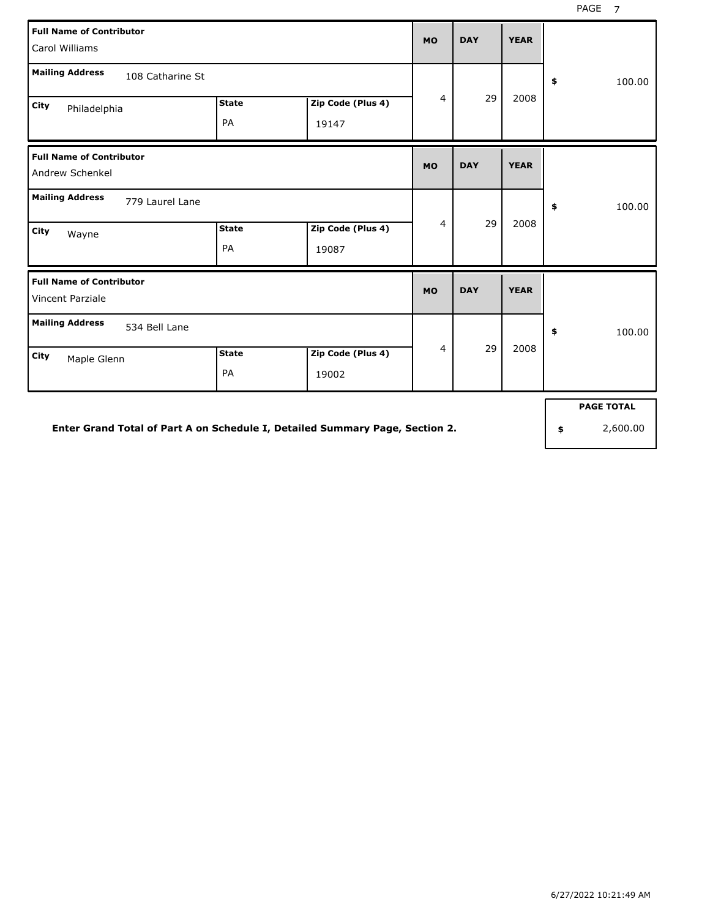| <b>Full Name of Contributor</b><br>Carol Williams   |              |                   | <b>MO</b>      | <b>DAY</b> | <b>YEAR</b> |                   |
|-----------------------------------------------------|--------------|-------------------|----------------|------------|-------------|-------------------|
| <b>Mailing Address</b><br>108 Catharine St          |              |                   |                |            |             | \$<br>100.00      |
| City<br>Philadelphia                                | <b>State</b> | Zip Code (Plus 4) | $\overline{4}$ | 29         | 2008        |                   |
|                                                     | PA           | 19147             |                |            |             |                   |
| <b>Full Name of Contributor</b><br>Andrew Schenkel  |              |                   | <b>MO</b>      | <b>DAY</b> | <b>YEAR</b> |                   |
| <b>Mailing Address</b><br>779 Laurel Lane           |              |                   |                |            |             | \$<br>100.00      |
| City<br>Wayne                                       | <b>State</b> | Zip Code (Plus 4) | 4              | 29         | 2008        |                   |
|                                                     | PA           | 19087             |                |            |             |                   |
| <b>Full Name of Contributor</b><br>Vincent Parziale |              |                   | <b>MO</b>      | <b>DAY</b> | <b>YEAR</b> |                   |
| <b>Mailing Address</b><br>534 Bell Lane             |              |                   |                |            |             | \$<br>100.00      |
| City<br>Maple Glenn                                 | <b>State</b> | Zip Code (Plus 4) | $\overline{4}$ | 29         | 2008        |                   |
|                                                     | PA           | 19002             |                |            |             |                   |
|                                                     |              |                   |                |            |             | <b>PAGE TOTAL</b> |

**Enter Grand Total of Part A on Schedule I, Detailed Summary Page, Section 2.**

**\$** 2,600.00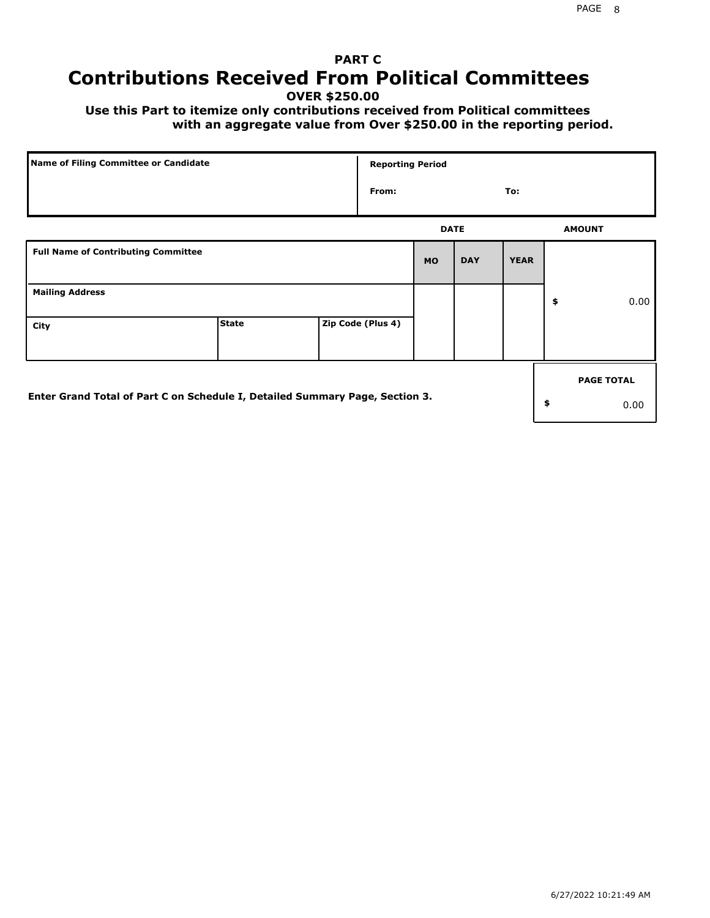## **PART C Contributions Received From Political Committees**

**OVER \$250.00**

 **Use this Part to itemize only contributions received from Political committees with an aggregate value from Over \$250.00 in the reporting period.**

| Name of Filing Committee or Candidate                                        |              |  | <b>Reporting Period</b> |             |            |             |    |                   |
|------------------------------------------------------------------------------|--------------|--|-------------------------|-------------|------------|-------------|----|-------------------|
|                                                                              |              |  | From:                   |             |            | To:         |    |                   |
|                                                                              |              |  |                         | <b>DATE</b> |            |             |    | <b>AMOUNT</b>     |
| <b>Full Name of Contributing Committee</b>                                   |              |  |                         | <b>MO</b>   | <b>DAY</b> | <b>YEAR</b> |    |                   |
| <b>Mailing Address</b>                                                       |              |  |                         |             |            |             | \$ | 0.00              |
| City                                                                         | <b>State</b> |  | Zip Code (Plus 4)       |             |            |             |    |                   |
|                                                                              |              |  |                         |             |            |             |    | <b>PAGE TOTAL</b> |
| Enter Grand Total of Part C on Schedule I, Detailed Summary Page, Section 3. |              |  |                         |             |            |             | \$ | 0.00              |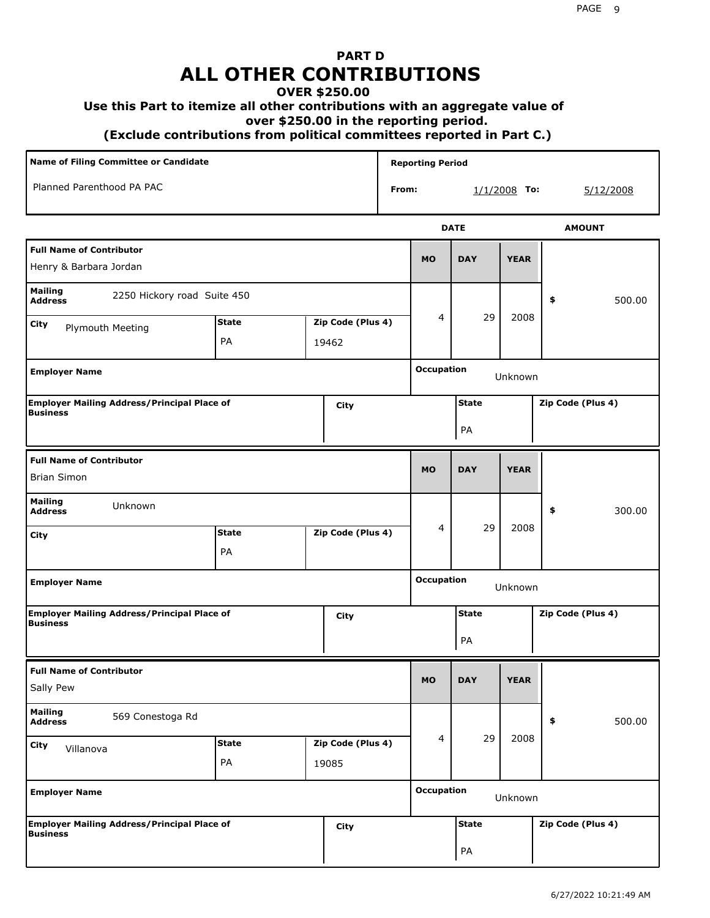# **PART D ALL OTHER CONTRIBUTIONS**

#### **OVER \$250.00**

#### **Use this Part to itemize all other contributions with an aggregate value of**

 **over \$250.00 in the reporting period.**

 **(Exclude contributions from political committees reported in Part C.)** 

| <b>Name of Filing Committee or Candidate</b>                          |              |  |                   | <b>Reporting Period</b> |                   |              |                |                   |  |
|-----------------------------------------------------------------------|--------------|--|-------------------|-------------------------|-------------------|--------------|----------------|-------------------|--|
| Planned Parenthood PA PAC                                             |              |  |                   | From:                   |                   |              | $1/1/2008$ To: | 5/12/2008         |  |
|                                                                       |              |  |                   |                         |                   | <b>DATE</b>  |                | <b>AMOUNT</b>     |  |
| <b>Full Name of Contributor</b><br>Henry & Barbara Jordan             |              |  |                   |                         | <b>MO</b>         | <b>DAY</b>   | <b>YEAR</b>    |                   |  |
| Mailing<br>2250 Hickory road Suite 450<br><b>Address</b>              |              |  |                   |                         |                   |              |                | 500.00<br>\$      |  |
| City<br>Plymouth Meeting                                              | <b>State</b> |  | Zip Code (Plus 4) |                         | 4                 | 29           | 2008           |                   |  |
|                                                                       | PA           |  | 19462             |                         |                   |              |                |                   |  |
| <b>Employer Name</b>                                                  |              |  |                   |                         | <b>Occupation</b> |              | Unknown        |                   |  |
| <b>Employer Mailing Address/Principal Place of</b><br><b>Business</b> |              |  | City              |                         |                   | <b>State</b> |                | Zip Code (Plus 4) |  |
|                                                                       |              |  |                   |                         |                   | PA           |                |                   |  |
| <b>Full Name of Contributor</b><br><b>Brian Simon</b>                 |              |  |                   |                         | <b>MO</b>         | <b>DAY</b>   | <b>YEAR</b>    |                   |  |
|                                                                       |              |  |                   |                         |                   |              |                |                   |  |
| <b>Mailing</b><br>Unknown<br><b>Address</b>                           |              |  |                   |                         |                   |              |                | \$<br>300.00      |  |
| City                                                                  | <b>State</b> |  | Zip Code (Plus 4) |                         | 4                 | 29           | 2008           |                   |  |
|                                                                       | PA           |  |                   |                         |                   |              |                |                   |  |
| <b>Employer Name</b>                                                  |              |  |                   |                         | <b>Occupation</b> |              | Unknown        |                   |  |
| <b>Employer Mailing Address/Principal Place of</b><br><b>Business</b> |              |  | City              |                         |                   | <b>State</b> |                | Zip Code (Plus 4) |  |
|                                                                       |              |  |                   |                         |                   | PA           |                |                   |  |
| <b>Full Name of Contributor</b>                                       |              |  |                   |                         |                   |              |                |                   |  |
| Sally Pew                                                             |              |  |                   |                         | <b>MO</b>         | <b>DAY</b>   | <b>YEAR</b>    |                   |  |
| <b>Mailing</b><br>569 Conestoga Rd<br><b>Address</b>                  |              |  |                   |                         |                   |              |                | \$<br>500.00      |  |
| City<br>Villanova                                                     | <b>State</b> |  | Zip Code (Plus 4) |                         | 4                 | 29           | 2008           |                   |  |
|                                                                       | PA           |  | 19085             |                         |                   |              |                |                   |  |
| <b>Employer Name</b>                                                  |              |  | <b>Occupation</b> |                         | Unknown           |              |                |                   |  |
| <b>Employer Mailing Address/Principal Place of</b><br><b>Business</b> |              |  | City              |                         |                   | <b>State</b> |                | Zip Code (Plus 4) |  |
|                                                                       |              |  |                   |                         |                   | PA           |                |                   |  |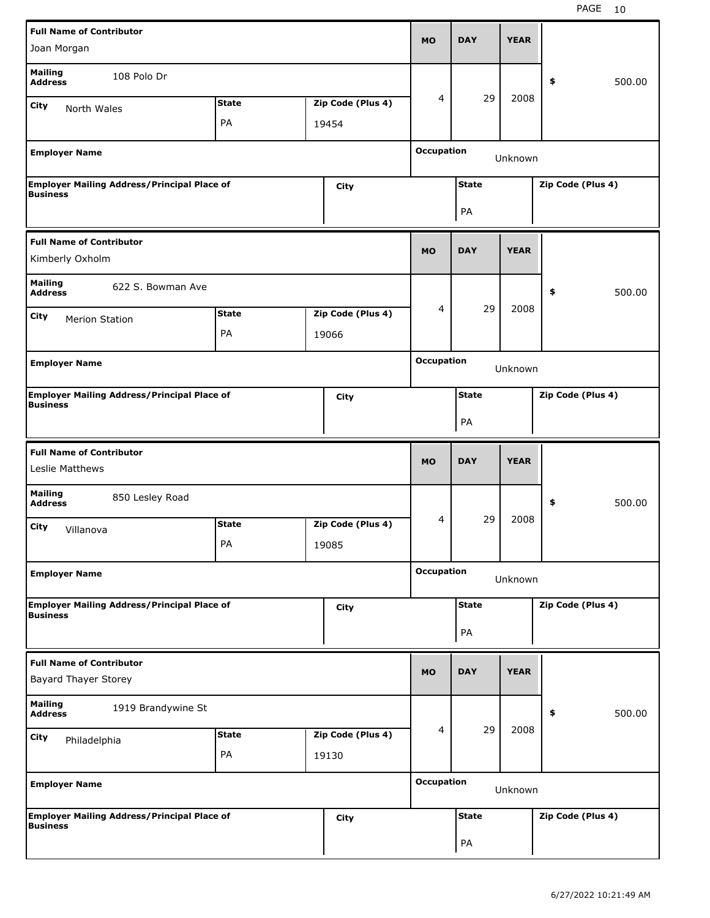| <b>Full Name of Contributor</b>                                       |              |                   | <b>MO</b>         | <b>DAY</b>   | <b>YEAR</b> |                   |
|-----------------------------------------------------------------------|--------------|-------------------|-------------------|--------------|-------------|-------------------|
| Joan Morgan                                                           |              |                   |                   |              |             |                   |
| <b>Mailing</b><br>108 Polo Dr<br><b>Address</b>                       |              |                   |                   |              |             | \$<br>500.00      |
| <b>City</b><br>North Wales                                            | <b>State</b> | Zip Code (Plus 4) | 4                 | 29           | 2008        |                   |
|                                                                       | PA           | 19454             |                   |              |             |                   |
| <b>Employer Name</b>                                                  |              |                   | <b>Occupation</b> |              | Unknown     |                   |
| <b>Employer Mailing Address/Principal Place of</b>                    |              | City              |                   | <b>State</b> |             | Zip Code (Plus 4) |
| <b>Business</b>                                                       |              |                   |                   | PA           |             |                   |
| <b>Full Name of Contributor</b><br>Kimberly Oxholm                    |              |                   | <b>MO</b>         | <b>DAY</b>   | <b>YEAR</b> |                   |
| <b>Mailing</b><br>622 S. Bowman Ave<br><b>Address</b>                 |              |                   |                   |              |             | \$<br>500.00      |
| City<br><b>Merion Station</b>                                         | <b>State</b> | Zip Code (Plus 4) | 4                 | 29           | 2008        |                   |
|                                                                       | PA           | 19066             |                   |              |             |                   |
| <b>Employer Name</b>                                                  |              |                   | <b>Occupation</b> |              | Unknown     |                   |
| <b>Employer Mailing Address/Principal Place of</b>                    |              | City              |                   | <b>State</b> |             | Zip Code (Plus 4) |
| <b>Business</b>                                                       |              |                   |                   | PA           |             |                   |
|                                                                       |              |                   |                   |              |             |                   |
| <b>Full Name of Contributor</b><br>Leslie Matthews                    |              |                   | <b>MO</b>         | <b>DAY</b>   | <b>YEAR</b> |                   |
| <b>Mailing</b><br>850 Lesley Road<br><b>Address</b>                   |              |                   |                   |              |             | \$<br>500.00      |
| City                                                                  | <b>State</b> | Zip Code (Plus 4) | 4                 | 29           | 2008        |                   |
| Villanova                                                             | PA           | 19085             |                   |              |             |                   |
| <b>Employer Name</b>                                                  |              |                   | <b>Occupation</b> |              | Unknown     |                   |
| <b>Employer Mailing Address/Principal Place of</b>                    |              | <b>City</b>       |                   | <b>State</b> |             | Zip Code (Plus 4) |
| Business                                                              |              |                   |                   | PA           |             |                   |
| <b>Full Name of Contributor</b><br><b>Bayard Thayer Storey</b>        |              |                   | <b>MO</b>         | <b>DAY</b>   | <b>YEAR</b> |                   |
| <b>Mailing</b><br>1919 Brandywine St<br><b>Address</b>                |              |                   |                   |              |             | 500.00<br>\$      |
| City<br>Philadelphia                                                  | <b>State</b> | Zip Code (Plus 4) | 4                 | 29           | 2008        |                   |
|                                                                       | PA           | 19130             |                   |              |             |                   |
| <b>Employer Name</b>                                                  |              |                   | <b>Occupation</b> |              | Unknown     |                   |
| <b>Employer Mailing Address/Principal Place of</b><br><b>Business</b> |              | <b>City</b>       |                   | <b>State</b> |             | Zip Code (Plus 4) |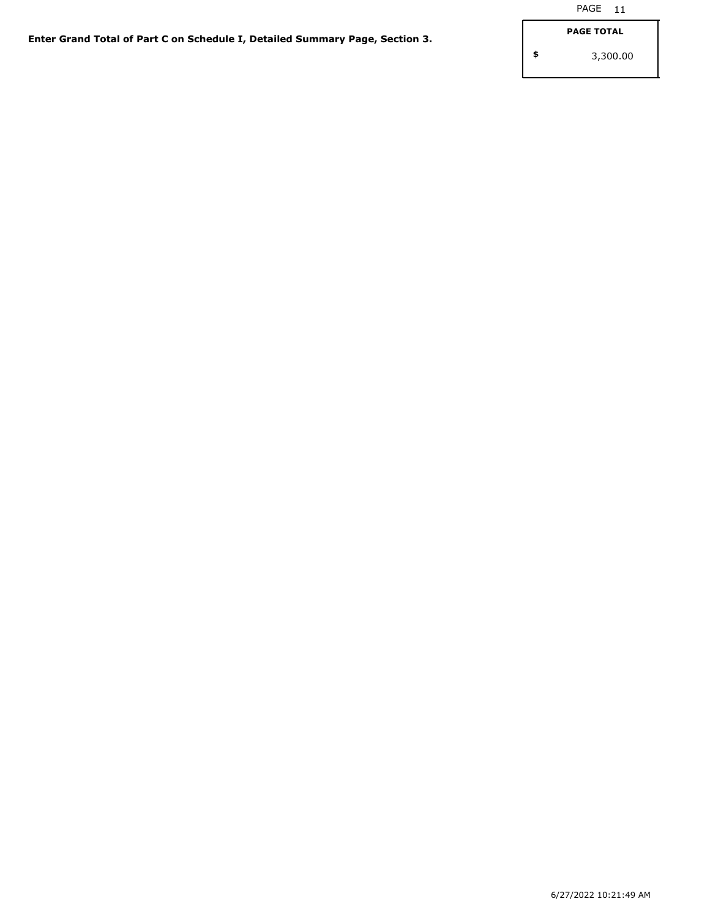**\$**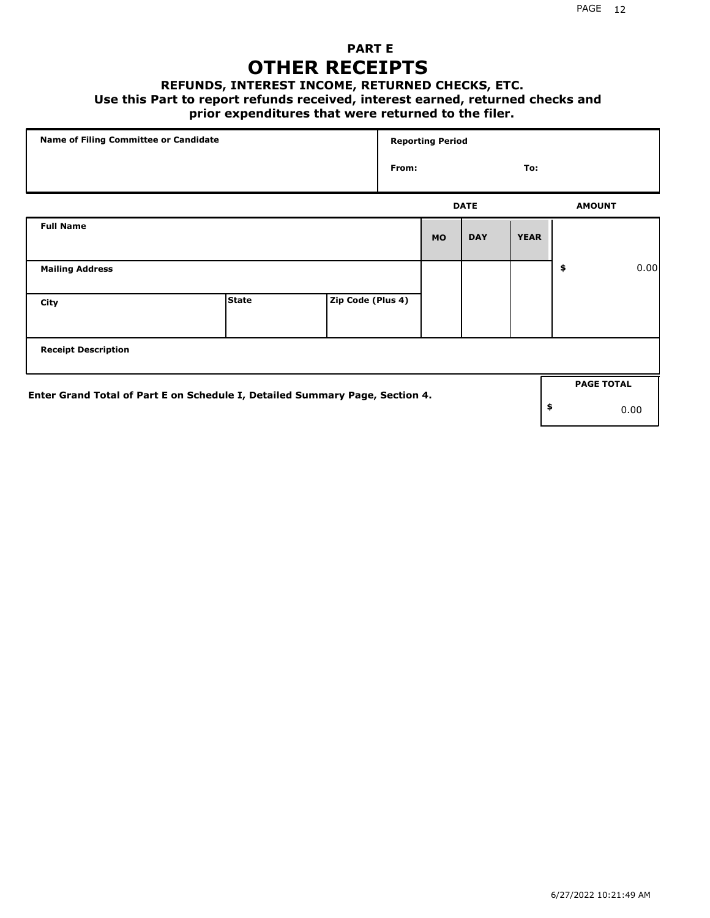### **PART E OTHER RECEIPTS**

#### **REFUNDS, INTEREST INCOME, RETURNED CHECKS, ETC.**

#### **Use this Part to report refunds received, interest earned, returned checks and**

### **prior expenditures that were returned to the filer.**

| Name of Filing Committee or Candidate                                        |              |                   |       | <b>Reporting Period</b> |             |             |                   |      |
|------------------------------------------------------------------------------|--------------|-------------------|-------|-------------------------|-------------|-------------|-------------------|------|
|                                                                              |              |                   | From: |                         |             | To:         |                   |      |
|                                                                              |              |                   |       |                         | <b>DATE</b> |             | <b>AMOUNT</b>     |      |
| <b>Full Name</b>                                                             |              |                   |       | <b>MO</b>               | <b>DAY</b>  | <b>YEAR</b> |                   |      |
| <b>Mailing Address</b>                                                       |              |                   |       |                         |             |             | \$                | 0.00 |
| City                                                                         | <b>State</b> | Zip Code (Plus 4) |       |                         |             |             |                   |      |
| <b>Receipt Description</b>                                                   |              |                   |       |                         |             |             |                   |      |
| Enter Grand Total of Part E on Schedule I, Detailed Summary Page, Section 4. |              |                   |       |                         |             |             | <b>PAGE TOTAL</b> |      |
|                                                                              |              |                   |       |                         |             |             | \$                | 0.00 |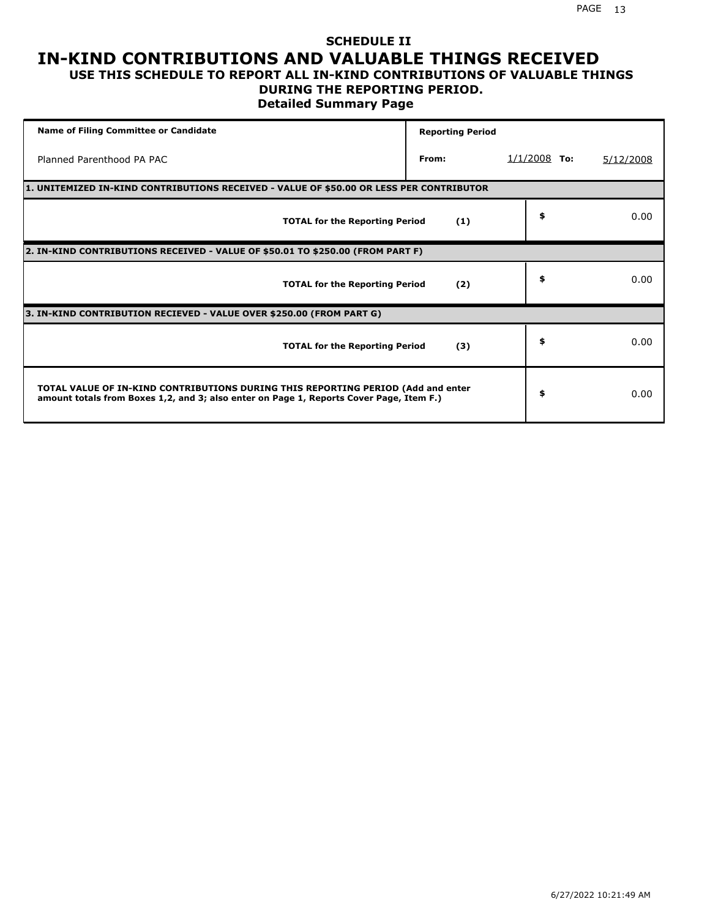## **SCHEDULE II IN-KIND CONTRIBUTIONS AND VALUABLE THINGS RECEIVED**

### **USE THIS SCHEDULE TO REPORT ALL IN-KIND CONTRIBUTIONS OF VALUABLE THINGS DURING THE REPORTING PERIOD.**

**Detailed Summary Page**

| <b>Name of Filing Committee or Candidate</b>                                                                                                                                | <b>Reporting Period</b> |                |           |
|-----------------------------------------------------------------------------------------------------------------------------------------------------------------------------|-------------------------|----------------|-----------|
| Planned Parenthood PA PAC                                                                                                                                                   | From:                   | $1/1/2008$ To: | 5/12/2008 |
| 1. UNITEMIZED IN-KIND CONTRIBUTIONS RECEIVED - VALUE OF \$50.00 OR LESS PER CONTRIBUTOR                                                                                     |                         |                |           |
| <b>TOTAL for the Reporting Period</b>                                                                                                                                       | (1)                     | \$             | 0.00      |
| 2. IN-KIND CONTRIBUTIONS RECEIVED - VALUE OF \$50.01 TO \$250.00 (FROM PART F)                                                                                              |                         |                |           |
| <b>TOTAL for the Reporting Period</b>                                                                                                                                       | (2)                     | \$             | 0.00      |
| 3. IN-KIND CONTRIBUTION RECIEVED - VALUE OVER \$250.00 (FROM PART G)                                                                                                        |                         |                |           |
| <b>TOTAL for the Reporting Period</b>                                                                                                                                       | (3)                     | \$             | 0.00      |
| TOTAL VALUE OF IN-KIND CONTRIBUTIONS DURING THIS REPORTING PERIOD (Add and enter<br>amount totals from Boxes 1,2, and 3; also enter on Page 1, Reports Cover Page, Item F.) |                         | \$             | 0.00      |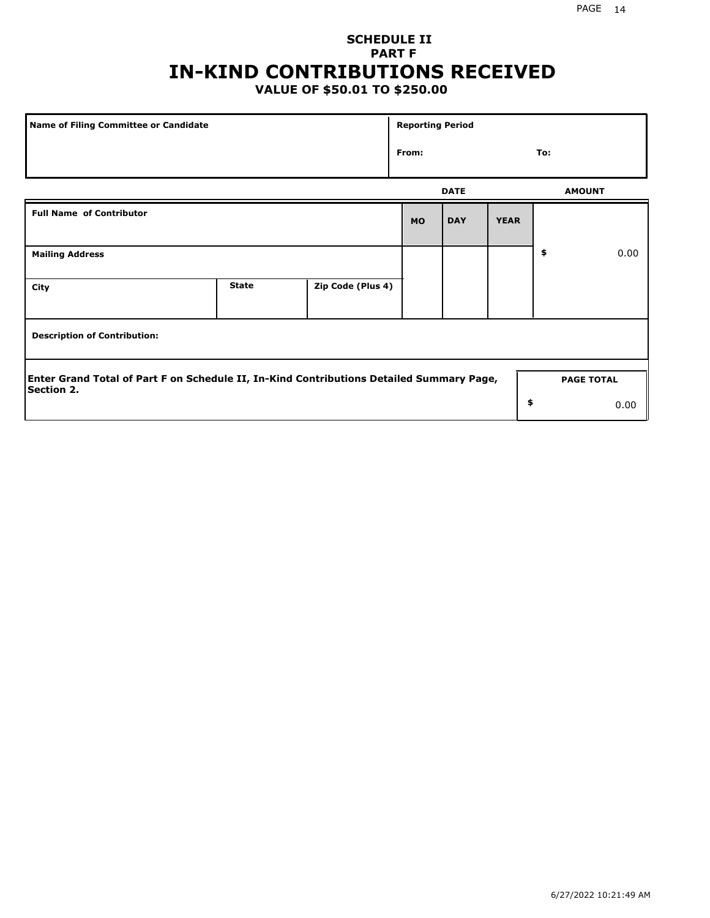## **SCHEDULE II PART F IN-KIND CONTRIBUTIONS RECEIVED**

## **VALUE OF \$50.01 TO \$250.00**

| Name of Filing Committee or Candidate                                                                                              |              |                   | <b>Reporting Period</b> |             |             |     |               |  |
|------------------------------------------------------------------------------------------------------------------------------------|--------------|-------------------|-------------------------|-------------|-------------|-----|---------------|--|
|                                                                                                                                    |              |                   | From:                   |             |             | To: |               |  |
|                                                                                                                                    |              |                   |                         | <b>DATE</b> |             |     | <b>AMOUNT</b> |  |
| <b>Full Name of Contributor</b>                                                                                                    |              |                   | <b>MO</b>               | <b>DAY</b>  | <b>YEAR</b> |     |               |  |
| <b>Mailing Address</b>                                                                                                             |              |                   |                         |             |             | \$  | 0.00          |  |
| City                                                                                                                               | <b>State</b> | Zip Code (Plus 4) |                         |             |             |     |               |  |
| <b>Description of Contribution:</b>                                                                                                |              |                   |                         |             |             |     |               |  |
| Enter Grand Total of Part F on Schedule II, In-Kind Contributions Detailed Summary Page,<br><b>PAGE TOTAL</b><br><b>Section 2.</b> |              |                   |                         |             |             |     |               |  |
|                                                                                                                                    |              |                   |                         |             | \$          |     | 0.00          |  |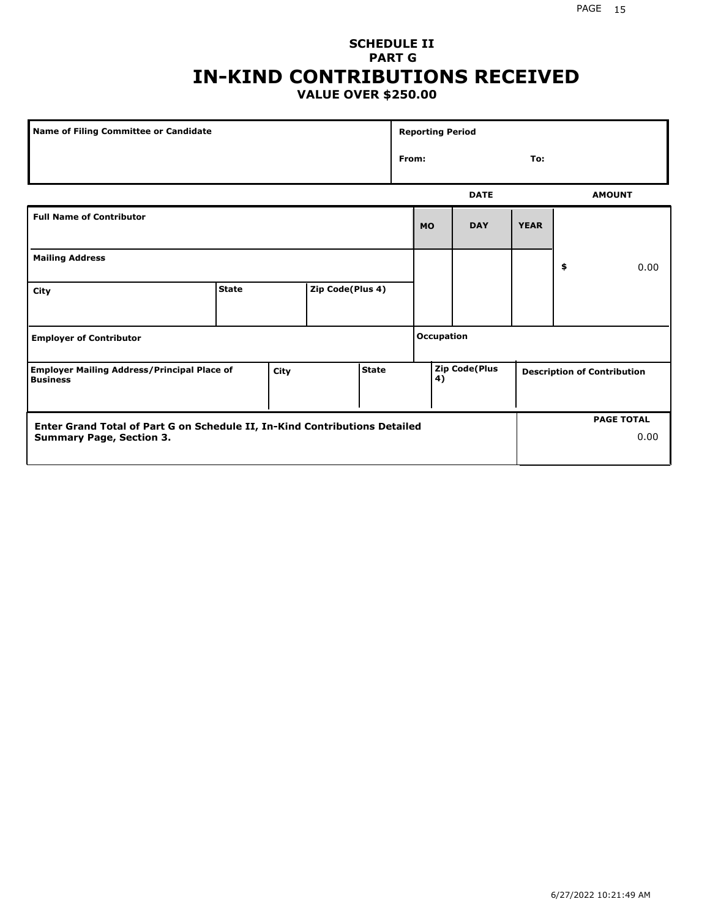### **SCHEDULE II PART G IN-KIND CONTRIBUTIONS RECEIVED VALUE OVER \$250.00**

| <b>Name of Filing Committee or Candidate</b>                                  |              |                  | <b>Reporting Period</b> |                     |              |            |                                    |    |      |               |
|-------------------------------------------------------------------------------|--------------|------------------|-------------------------|---------------------|--------------|------------|------------------------------------|----|------|---------------|
|                                                                               |              |                  |                         |                     | From:<br>To: |            |                                    |    |      |               |
|                                                                               |              |                  |                         |                     |              |            | <b>DATE</b>                        |    |      | <b>AMOUNT</b> |
| <b>Full Name of Contributor</b>                                               |              |                  |                         |                     | <b>MO</b>    | <b>DAY</b> | <b>YEAR</b>                        |    |      |               |
| <b>Mailing Address</b>                                                        |              |                  |                         |                     |              |            |                                    | \$ | 0.00 |               |
| City                                                                          | <b>State</b> | Zip Code(Plus 4) |                         |                     |              |            |                                    |    |      |               |
| <b>Employer of Contributor</b>                                                |              |                  |                         | <b>Occupation</b>   |              |            |                                    |    |      |               |
| <b>Employer Mailing Address/Principal Place of</b><br>City<br><b>Business</b> |              | <b>State</b>     |                         | Zip Code(Plus<br>4) |              |            | <b>Description of Contribution</b> |    |      |               |

| <b>Enter Grand Total of Part G on Schedule II, In-Kind Contributions Detailed</b> |  | <b>PAGE TOTAL</b> |
|-----------------------------------------------------------------------------------|--|-------------------|
| <b>Summary Page, Section 3.</b>                                                   |  | 0.00              |
|                                                                                   |  |                   |